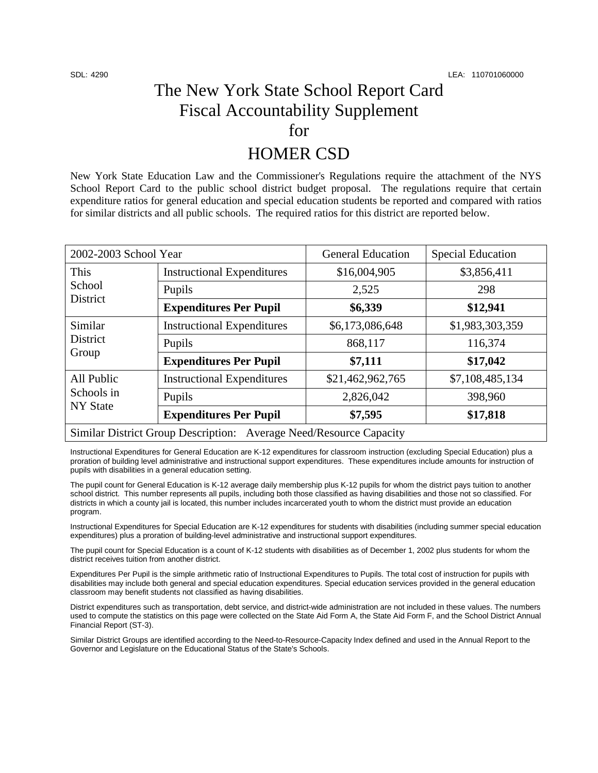# The New York State School Report Card Fiscal Accountability Supplement for

## HOMER CSD

New York State Education Law and the Commissioner's Regulations require the attachment of the NYS School Report Card to the public school district budget proposal. The regulations require that certain expenditure ratios for general education and special education students be reported and compared with ratios for similar districts and all public schools. The required ratios for this district are reported below.

| 2002-2003 School Year                                              |                                   | <b>General Education</b> | <b>Special Education</b> |  |
|--------------------------------------------------------------------|-----------------------------------|--------------------------|--------------------------|--|
| This<br>School<br>District                                         | <b>Instructional Expenditures</b> | \$16,004,905             | \$3,856,411              |  |
|                                                                    | Pupils                            | 2,525                    | 298                      |  |
|                                                                    | <b>Expenditures Per Pupil</b>     | \$6,339                  | \$12,941                 |  |
| Similar<br><b>District</b><br>Group                                | <b>Instructional Expenditures</b> | \$6,173,086,648          | \$1,983,303,359          |  |
|                                                                    | Pupils                            | 868,117                  | 116,374                  |  |
|                                                                    | <b>Expenditures Per Pupil</b>     | \$7,111                  | \$17,042                 |  |
| All Public<br>Schools in<br><b>NY</b> State                        | <b>Instructional Expenditures</b> | \$21,462,962,765         | \$7,108,485,134          |  |
|                                                                    | Pupils                            | 2,826,042                | 398,960                  |  |
|                                                                    | <b>Expenditures Per Pupil</b>     | \$7,595                  | \$17,818                 |  |
| Similar District Group Description: Average Need/Resource Capacity |                                   |                          |                          |  |

Instructional Expenditures for General Education are K-12 expenditures for classroom instruction (excluding Special Education) plus a proration of building level administrative and instructional support expenditures. These expenditures include amounts for instruction of pupils with disabilities in a general education setting.

The pupil count for General Education is K-12 average daily membership plus K-12 pupils for whom the district pays tuition to another school district. This number represents all pupils, including both those classified as having disabilities and those not so classified. For districts in which a county jail is located, this number includes incarcerated youth to whom the district must provide an education program.

Instructional Expenditures for Special Education are K-12 expenditures for students with disabilities (including summer special education expenditures) plus a proration of building-level administrative and instructional support expenditures.

The pupil count for Special Education is a count of K-12 students with disabilities as of December 1, 2002 plus students for whom the district receives tuition from another district.

Expenditures Per Pupil is the simple arithmetic ratio of Instructional Expenditures to Pupils. The total cost of instruction for pupils with disabilities may include both general and special education expenditures. Special education services provided in the general education classroom may benefit students not classified as having disabilities.

District expenditures such as transportation, debt service, and district-wide administration are not included in these values. The numbers used to compute the statistics on this page were collected on the State Aid Form A, the State Aid Form F, and the School District Annual Financial Report (ST-3).

Similar District Groups are identified according to the Need-to-Resource-Capacity Index defined and used in the Annual Report to the Governor and Legislature on the Educational Status of the State's Schools.